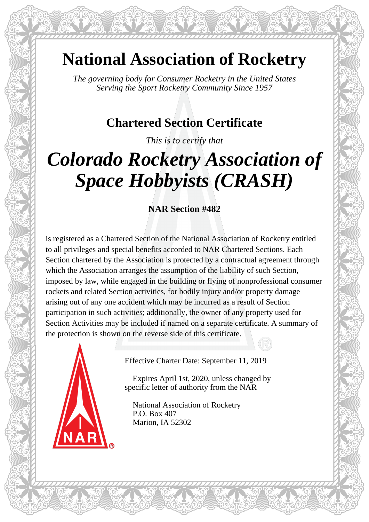## **National Association of Rocketry**

*The governing body for Consumer Rocketry in the United States Serving the Sport Rocketry Community Since 1957*

## **Chartered Section Certificate**

*This is to certify that*

# *Colorado Rocketry Association of Space Hobbyists (CRASH)*

### **NAR Section #482**

is registered as a Chartered Section of the National Association of Rocketry entitled to all privileges and special benefits accorded to NAR Chartered Sections. Each Section chartered by the Association is protected by a contractual agreement through which the Association arranges the assumption of the liability of such Section, imposed by law, while engaged in the building or flying of nonprofessional consumer rockets and related Section activities, for bodily injury and/or property damage arising out of any one accident which may be incurred as a result of Section participation in such activities; additionally, the owner of any property used for Section Activities may be included if named on a separate certificate. A summary of the protection is shown on the reverse side of this certificate.



Effective Charter Date: September 11, 2019

 Expires April 1st, 2020, unless changed by specific letter of authority from the NAR

 National Association of Rocketry P.O. Box 407 Marion, IA 52302